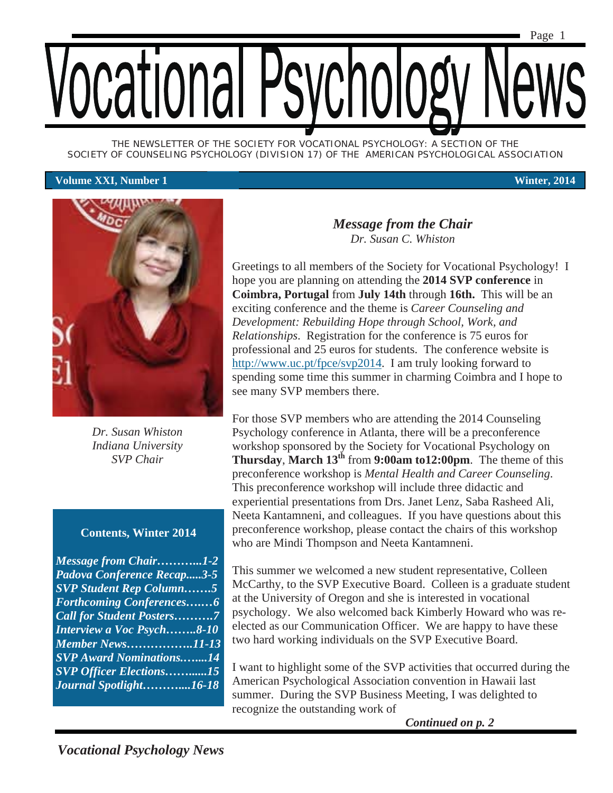*THE NEWSLETTER OF THE SOCIETY FOR VOCATIONAL PSYCHOLOGY: A SECTION OF THE SOCIETY OF COUNSELING PSYCHOLOGY (DIVISION 17) OF THE AMERICAN PSYCHOLOGICAL ASSOCIATION* 

#### **Volume XXI, Number 1 Winter, 2014**



*Dr. Susan Whiston Indiana University SVP Chair* 

#### **Contents, Winter 2014**

*Message from Chair………...1-2 Padova Conference Recap.....3-5 SVP Student Rep Column…….5 Forthcoming Conferences….…6 Call for Student Posters……….7 Interview a Voc Psych……..8-10 Member News……………..11-13 SVP Award Nominations.…....14 SVP Officer Elections……......15 Journal Spotlight………....16-18* 

#### *Message from the Chair Dr. Susan C. Whiston*

Greetings to all members of the Society for Vocational Psychology! I hope you are planning on attending the **2014 SVP conference** in **Coimbra, Portugal** from **July 14th** through **16th.** This will be an exciting conference and the theme is *Career Counseling and Development: Rebuilding Hope through School, Work, and Relationships*. Registration for the conference is 75 euros for professional and 25 euros for students. The conference website is http://www.uc.pt/fpce/svp2014. I am truly looking forward to spending some time this summer in charming Coimbra and I hope to see many SVP members there.

For those SVP members who are attending the 2014 Counseling Psychology conference in Atlanta, there will be a preconference workshop sponsored by the Society for Vocational Psychology on **Thursday**, **March 13th** from **9:00am to12:00pm**. The theme of this preconference workshop is *Mental Health and Career Counseling*. This preconference workshop will include three didactic and experiential presentations from Drs. Janet Lenz, Saba Rasheed Ali, Neeta Kantamneni, and colleagues. If you have questions about this preconference workshop, please contact the chairs of this workshop who are Mindi Thompson and Neeta Kantamneni.

This summer we welcomed a new student representative, Colleen McCarthy, to the SVP Executive Board. Colleen is a graduate student at the University of Oregon and she is interested in vocational psychology. We also welcomed back Kimberly Howard who was reelected as our Communication Officer. We are happy to have these two hard working individuals on the SVP Executive Board.

I want to highlight some of the SVP activities that occurred during the American Psychological Association convention in Hawaii last summer. During the SVP Business Meeting, I was delighted to recognize the outstanding work of

*Continued on p. 2*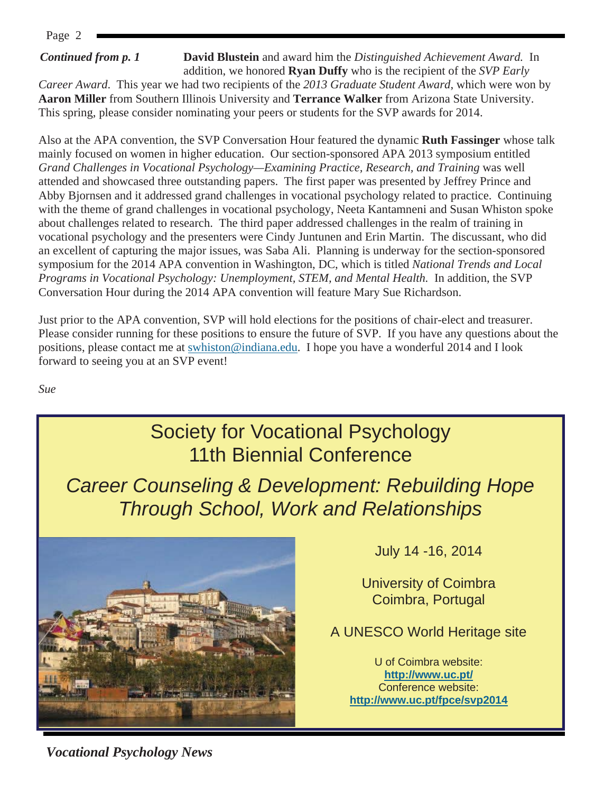#### *Continued from p. 1*

**David Blustein** and award him the *Distinguished Achievement Award.* In addition, we honored **Ryan Duffy** who is the recipient of the *SVP Early* 

*Career Award*.This year we had two recipients of the *2013 Graduate Student Award*, which were won by **Aaron Miller** from Southern Illinois University and **Terrance Walker** from Arizona State University. This spring, please consider nominating your peers or students for the SVP awards for 2014.

Also at the APA convention, the SVP Conversation Hour featured the dynamic **Ruth Fassinger** whose talk mainly focused on women in higher education. Our section-sponsored APA 2013 symposium entitled *Grand Challenges in Vocational Psychology—Examining Practice, Research, and Training* was well attended and showcased three outstanding papers. The first paper was presented by Jeffrey Prince and Abby Bjornsen and it addressed grand challenges in vocational psychology related to practice. Continuing with the theme of grand challenges in vocational psychology, Neeta Kantamneni and Susan Whiston spoke about challenges related to research. The third paper addressed challenges in the realm of training in vocational psychology and the presenters were Cindy Juntunen and Erin Martin. The discussant, who did an excellent of capturing the major issues, was Saba Ali. Planning is underway for the section-sponsored symposium for the 2014 APA convention in Washington, DC, which is titled *National Trends and Local Programs in Vocational Psychology: Unemployment, STEM, and Mental Health.* In addition, the SVP Conversation Hour during the 2014 APA convention will feature Mary Sue Richardson.

Just prior to the APA convention, SVP will hold elections for the positions of chair-elect and treasurer. Please consider running for these positions to ensure the future of SVP. If you have any questions about the positions, please contact me at swhiston@indiana.edu. I hope you have a wonderful 2014 and I look forward to seeing you at an SVP event!

*Sue* 



*Vocational Psychology News*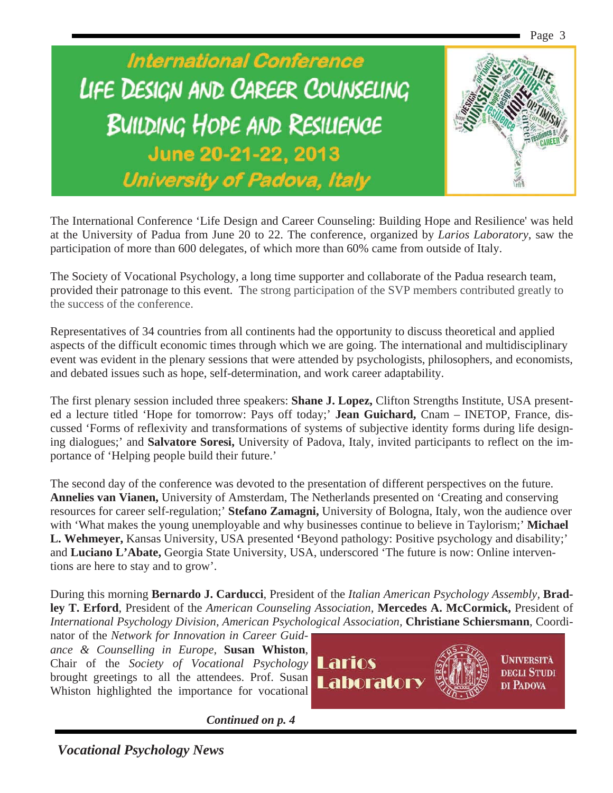

The International Conference 'Life Design and Career Counseling: Building Hope and Resilience' was held at the University of Padua from June 20 to 22. The conference, organized by *Larios Laboratory*, saw the participation of more than 600 delegates, of which more than 60% came from outside of Italy.

The Society of Vocational Psychology, a long time supporter and collaborate of the Padua research team, provided their patronage to this event. The strong participation of the SVP members contributed greatly to the success of the conference.

Representatives of 34 countries from all continents had the opportunity to discuss theoretical and applied aspects of the difficult economic times through which we are going. The international and multidisciplinary event was evident in the plenary sessions that were attended by psychologists, philosophers, and economists, and debated issues such as hope, self-determination, and work career adaptability.

The first plenary session included three speakers: **Shane J. Lopez,** Clifton Strengths Institute, USA presented a lecture titled 'Hope for tomorrow: Pays off today;' **Jean Guichard,** Cnam – INETOP, France, discussed 'Forms of reflexivity and transformations of systems of subjective identity forms during life designing dialogues;' and **Salvatore Soresi,** University of Padova, Italy, invited participants to reflect on the importance of 'Helping people build their future.'

The second day of the conference was devoted to the presentation of different perspectives on the future. **Annelies van Vianen,** University of Amsterdam, The Netherlands presented on 'Creating and conserving resources for career self-regulation;' **Stefano Zamagni,** University of Bologna, Italy, won the audience over with 'What makes the young unemployable and why businesses continue to believe in Taylorism;' **Michael L. Wehmeyer,** Kansas University, USA presented **'**Beyond pathology: Positive psychology and disability;' and **Luciano L'Abate,** Georgia State University, USA, underscored 'The future is now: Online interventions are here to stay and to grow'.

During this morning **Bernardo J. Carducci**, President of the *Italian American Psychology Assembly,* **Bradley T. Erford**, President of the *American Counseling Association,* **Mercedes A. McCormick,** President of *International Psychology Division, American Psychological Association,* **Christiane Schiersmann**, Coordi-

nator of the *Network for Innovation in Career Guidance & Counselling in Europe,* **Susan Whiston**, Chair of the *Society of Vocational Psychology*  brought greetings to all the attendees. Prof. Susan Whiston highlighted the importance for vocational



*Continued on p. 4*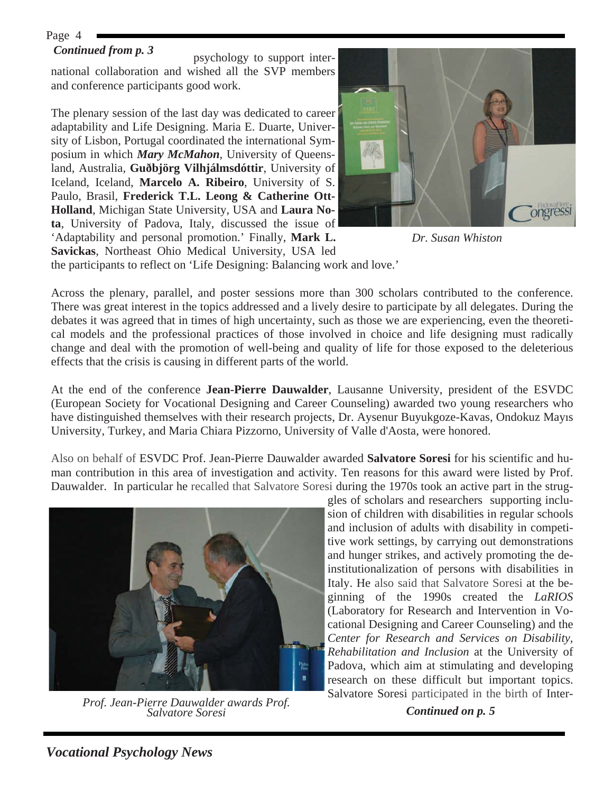#### *Continued from p. 3*

psychology to support international collaboration and wished all the SVP members and conference participants good work.

The plenary session of the last day was dedicated to career adaptability and Life Designing. Maria E. Duarte, University of Lisbon, Portugal coordinated the international Symposium in which *Mary McMahon*, University of Queensland, Australia, **Guðbjörg Vilhjálmsdóttir**, University of Iceland, Iceland, **Marcelo A. Ribeiro**, University of S. Paulo, Brasil, **Frederick T.L. Leong & Catherine Ott-Holland**, Michigan State University, USA and **Laura Nota**, University of Padova, Italy, discussed the issue of 'Adaptability and personal promotion.' Finally, **Mark L. Savickas**, Northeast Ohio Medical University, USA led



*Dr. Susan Whiston* 

the participants to reflect on 'Life Designing: Balancing work and love.'

Across the plenary, parallel, and poster sessions more than 300 scholars contributed to the conference. There was great interest in the topics addressed and a lively desire to participate by all delegates. During the debates it was agreed that in times of high uncertainty, such as those we are experiencing, even the theoretical models and the professional practices of those involved in choice and life designing must radically change and deal with the promotion of well-being and quality of life for those exposed to the deleterious effects that the crisis is causing in different parts of the world.

At the end of the conference **Jean-Pierre Dauwalder**, Lausanne University, president of the ESVDC (European Society for Vocational Designing and Career Counseling) awarded two young researchers who have distinguished themselves with their research projects, Dr. Aysenur Buyukgoze-Kavas, Ondokuz Mayıs University, Turkey, and Maria Chiara Pizzorno, University of Valle d'Aosta, were honored.

Also on behalf of ESVDC Prof. Jean-Pierre Dauwalder awarded **Salvatore Soresi** for his scientific and human contribution in this area of investigation and activity. Ten reasons for this award were listed by Prof. Dauwalder. In particular he recalled that Salvatore Soresi during the 1970s took an active part in the strug-



*Continued on p. 5 Prof. Jean-Pierre Dauwalder awards Prof. Salvatore Soresi* 

gles of scholars and researchers supporting inclusion of children with disabilities in regular schools and inclusion of adults with disability in competitive work settings, by carrying out demonstrations and hunger strikes, and actively promoting the deinstitutionalization of persons with disabilities in Italy. He also said that Salvatore Soresi at the beginning of the 1990s created the *LaRIOS* (Laboratory for Research and Intervention in Vocational Designing and Career Counseling) and the *Center for Research and Services on Disability, Rehabilitation and Inclusion* at the University of Padova, which aim at stimulating and developing research on these difficult but important topics. Salvatore Soresi participated in the birth of Inter-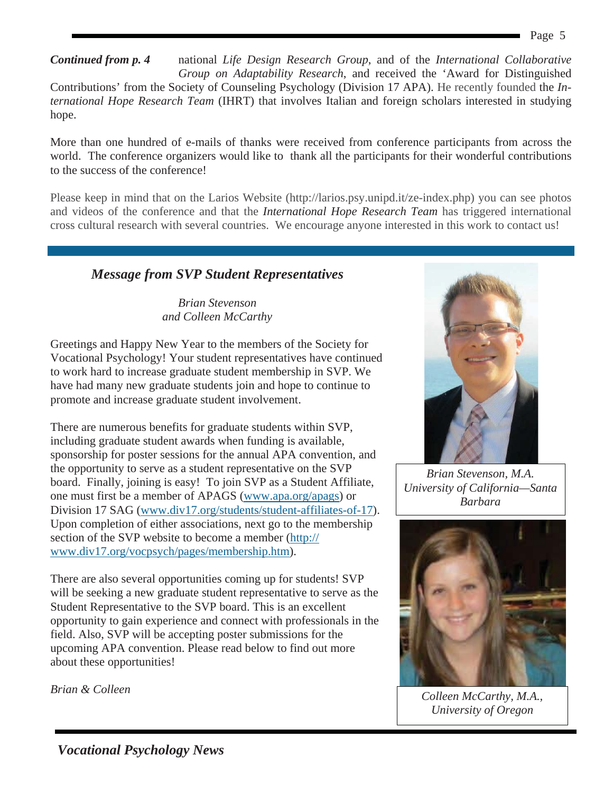national *Life Design Research Group*, and of the *International Collaborative Group on Adaptability Research*, and received the 'Award for Distinguished Contributions' from the Society of Counseling Psychology (Division 17 APA). He recently founded the *International Hope Research Team* (IHRT) that involves Italian and foreign scholars interested in studying hope. *Continued from p. 4* 

More than one hundred of e-mails of thanks were received from conference participants from across the world. The conference organizers would like to thank all the participants for their wonderful contributions to the success of the conference!

Please keep in mind that on the Larios Website (http://larios.psy.unipd.it/ze-index.php) you can see photos and videos of the conference and that the *International Hope Research Team* has triggered international cross cultural research with several countries. We encourage anyone interested in this work to contact us!

# *Message from SVP Student Representatives*

*Brian Stevenson and Colleen McCarthy* 

Greetings and Happy New Year to the members of the Society for Vocational Psychology! Your student representatives have continued to work hard to increase graduate student membership in SVP. We have had many new graduate students join and hope to continue to promote and increase graduate student involvement.

There are numerous benefits for graduate students within SVP, including graduate student awards when funding is available, sponsorship for poster sessions for the annual APA convention, and the opportunity to serve as a student representative on the SVP board. Finally, joining is easy! To join SVP as a Student Affiliate, one must first be a member of APAGS (www.apa.org/apags) or Division 17 SAG (www.div17.org/students/student-affiliates-of-17). Upon completion of either associations, next go to the membership section of the SVP website to become a member (http:// www.div17.org/vocpsych/pages/membership.htm).

There are also several opportunities coming up for students! SVP will be seeking a new graduate student representative to serve as the Student Representative to the SVP board. This is an excellent opportunity to gain experience and connect with professionals in the field. Also, SVP will be accepting poster submissions for the upcoming APA convention. Please read below to find out more about these opportunities!

*Brian & Colleen* 



*Brian Stevenson, M.A. University of California—Santa Barbara*



*Colleen McCarthy, M.A., University of Oregon*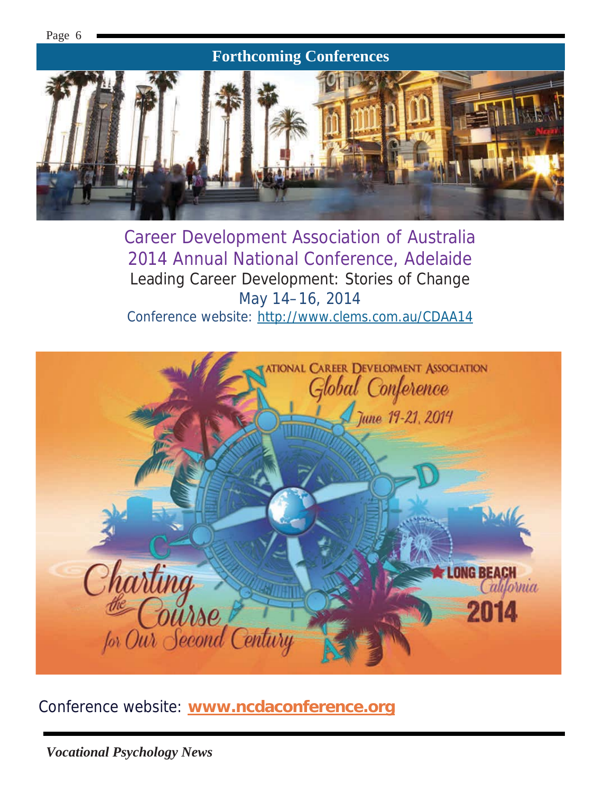

Career Development Association of Australia 2014 Annual National Conference, Adelaide Leading Career Development: Stories of Change May 14–16, 2014 Conference website: http://www.clems.com.au/CDAA14



Conference website: **www.ncdaconference.org**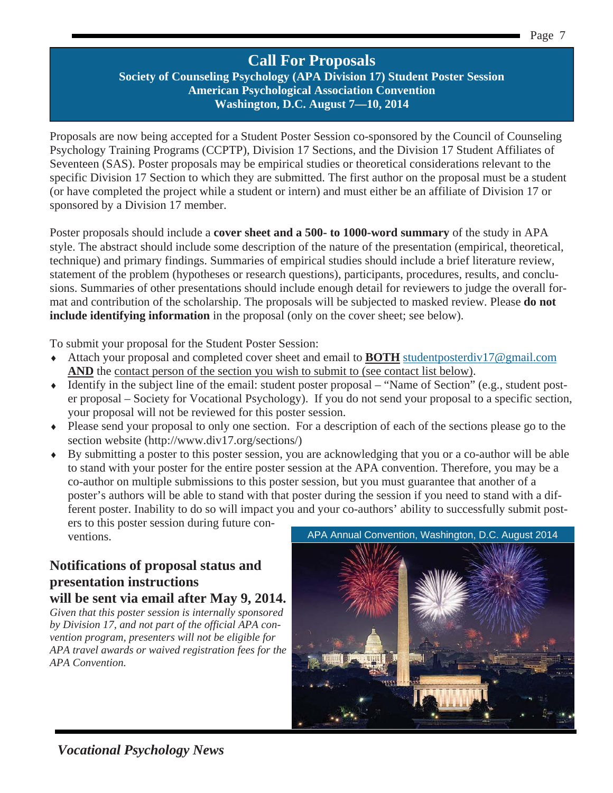# **Call For Proposals**

**Society of Counseling Psychology (APA Division 17) Student Poster Session American Psychological Association Convention Washington, D.C. August 7—10, 2014** 

Proposals are now being accepted for a Student Poster Session co-sponsored by the Council of Counseling Psychology Training Programs (CCPTP), Division 17 Sections, and the Division 17 Student Affiliates of Seventeen (SAS). Poster proposals may be empirical studies or theoretical considerations relevant to the specific Division 17 Section to which they are submitted. The first author on the proposal must be a student (or have completed the project while a student or intern) and must either be an affiliate of Division 17 or sponsored by a Division 17 member.

Poster proposals should include a **cover sheet and a 500- to 1000-word summary** of the study in APA style. The abstract should include some description of the nature of the presentation (empirical, theoretical, technique) and primary findings. Summaries of empirical studies should include a brief literature review, statement of the problem (hypotheses or research questions), participants, procedures, results, and conclusions. Summaries of other presentations should include enough detail for reviewers to judge the overall format and contribution of the scholarship. The proposals will be subjected to masked review. Please **do not include identifying information** in the proposal (only on the cover sheet; see below).

To submit your proposal for the Student Poster Session:

- i Attach your proposal and completed cover sheet and email to **BOTH** studentposterdiv17@gmail.com AND the contact person of the section you wish to submit to (see contact list below).
- $\bullet$  Identify in the subject line of the email: student poster proposal "Name of Section" (e.g., student poster proposal – Society for Vocational Psychology). If you do not send your proposal to a specific section, your proposal will not be reviewed for this poster session.
- i Please send your proposal to only one section. For a description of each of the sections please go to the section website (http://www.div17.org/sections/)
- i By submitting a poster to this poster session, you are acknowledging that you or a co-author will be able to stand with your poster for the entire poster session at the APA convention. Therefore, you may be a co-author on multiple submissions to this poster session, but you must guarantee that another of a poster's authors will be able to stand with that poster during the session if you need to stand with a different poster. Inability to do so will impact you and your co-authors' ability to successfully submit posters to this poster session during future con-

ventions.

# **Notifications of proposal status and presentation instructions**

**will be sent via email after May 9, 2014.** 

*Given that this poster session is internally sponsored by Division 17, and not part of the official APA convention program, presenters will not be eligible for APA travel awards or waived registration fees for the APA Convention.* 

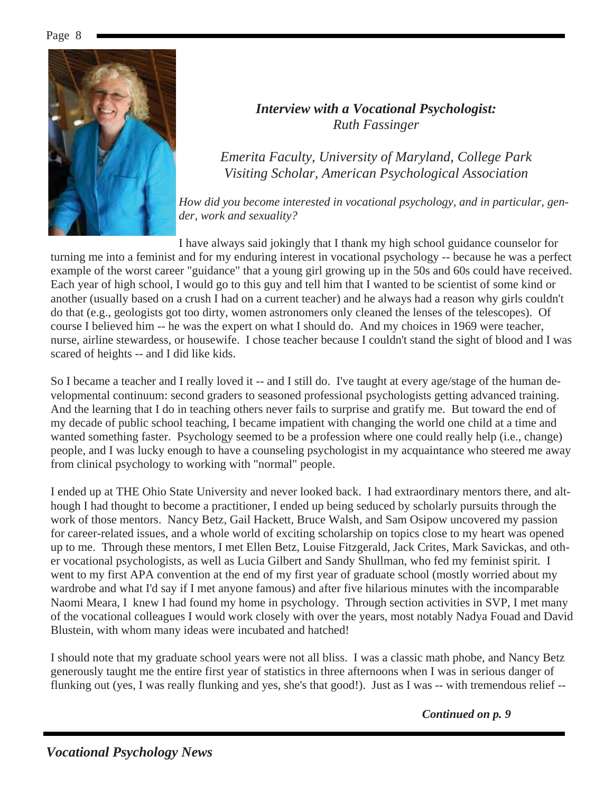

### *Interview with a Vocational Psychologist: Ruth Fassinger*

*Emerita Faculty, University of Maryland, College Park Visiting Scholar, American Psychological Association* 

*How did you become interested in vocational psychology, and in particular, gender, work and sexuality?* 

I have always said jokingly that I thank my high school guidance counselor for turning me into a feminist and for my enduring interest in vocational psychology -- because he was a perfect example of the worst career "guidance" that a young girl growing up in the 50s and 60s could have received. Each year of high school, I would go to this guy and tell him that I wanted to be scientist of some kind or another (usually based on a crush I had on a current teacher) and he always had a reason why girls couldn't do that (e.g., geologists got too dirty, women astronomers only cleaned the lenses of the telescopes). Of course I believed him -- he was the expert on what I should do. And my choices in 1969 were teacher, nurse, airline stewardess, or housewife. I chose teacher because I couldn't stand the sight of blood and I was scared of heights -- and I did like kids.

So I became a teacher and I really loved it -- and I still do. I've taught at every age/stage of the human developmental continuum: second graders to seasoned professional psychologists getting advanced training. And the learning that I do in teaching others never fails to surprise and gratify me. But toward the end of my decade of public school teaching, I became impatient with changing the world one child at a time and wanted something faster. Psychology seemed to be a profession where one could really help (i.e., change) people, and I was lucky enough to have a counseling psychologist in my acquaintance who steered me away from clinical psychology to working with "normal" people.

I ended up at THE Ohio State University and never looked back. I had extraordinary mentors there, and although I had thought to become a practitioner, I ended up being seduced by scholarly pursuits through the work of those mentors. Nancy Betz, Gail Hackett, Bruce Walsh, and Sam Osipow uncovered my passion for career-related issues, and a whole world of exciting scholarship on topics close to my heart was opened up to me. Through these mentors, I met Ellen Betz, Louise Fitzgerald, Jack Crites, Mark Savickas, and other vocational psychologists, as well as Lucia Gilbert and Sandy Shullman, who fed my feminist spirit. I went to my first APA convention at the end of my first year of graduate school (mostly worried about my wardrobe and what I'd say if I met anyone famous) and after five hilarious minutes with the incomparable Naomi Meara, I knew I had found my home in psychology. Through section activities in SVP, I met many of the vocational colleagues I would work closely with over the years, most notably Nadya Fouad and David Blustein, with whom many ideas were incubated and hatched!

I should note that my graduate school years were not all bliss. I was a classic math phobe, and Nancy Betz generously taught me the entire first year of statistics in three afternoons when I was in serious danger of flunking out (yes, I was really flunking and yes, she's that good!). Just as I was -- with tremendous relief --

*Continued on p. 9*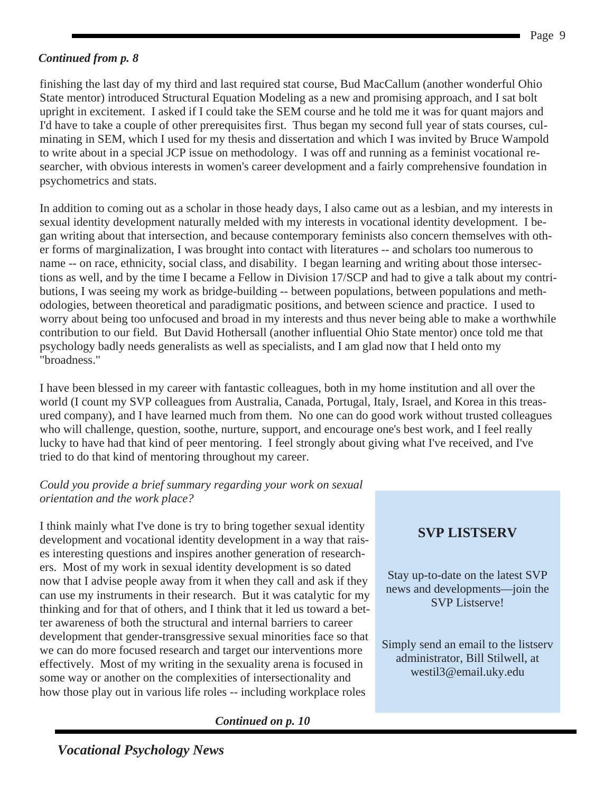#### *Continued from p. 8*

finishing the last day of my third and last required stat course, Bud MacCallum (another wonderful Ohio State mentor) introduced Structural Equation Modeling as a new and promising approach, and I sat bolt upright in excitement. I asked if I could take the SEM course and he told me it was for quant majors and I'd have to take a couple of other prerequisites first. Thus began my second full year of stats courses, culminating in SEM, which I used for my thesis and dissertation and which I was invited by Bruce Wampold to write about in a special JCP issue on methodology. I was off and running as a feminist vocational researcher, with obvious interests in women's career development and a fairly comprehensive foundation in psychometrics and stats.

In addition to coming out as a scholar in those heady days, I also came out as a lesbian, and my interests in sexual identity development naturally melded with my interests in vocational identity development. I began writing about that intersection, and because contemporary feminists also concern themselves with other forms of marginalization, I was brought into contact with literatures -- and scholars too numerous to name -- on race, ethnicity, social class, and disability. I began learning and writing about those intersections as well, and by the time I became a Fellow in Division 17/SCP and had to give a talk about my contributions, I was seeing my work as bridge-building -- between populations, between populations and methodologies, between theoretical and paradigmatic positions, and between science and practice. I used to worry about being too unfocused and broad in my interests and thus never being able to make a worthwhile contribution to our field. But David Hothersall (another influential Ohio State mentor) once told me that psychology badly needs generalists as well as specialists, and I am glad now that I held onto my "broadness."

I have been blessed in my career with fantastic colleagues, both in my home institution and all over the world (I count my SVP colleagues from Australia, Canada, Portugal, Italy, Israel, and Korea in this treasured company), and I have learned much from them. No one can do good work without trusted colleagues who will challenge, question, soothe, nurture, support, and encourage one's best work, and I feel really lucky to have had that kind of peer mentoring. I feel strongly about giving what I've received, and I've tried to do that kind of mentoring throughout my career.

#### *Could you provide a brief summary regarding your work on sexual orientation and the work place?*

I think mainly what I've done is try to bring together sexual identity development and vocational identity development in a way that raises interesting questions and inspires another generation of researchers. Most of my work in sexual identity development is so dated now that I advise people away from it when they call and ask if they can use my instruments in their research. But it was catalytic for my thinking and for that of others, and I think that it led us toward a better awareness of both the structural and internal barriers to career development that gender-transgressive sexual minorities face so that we can do more focused research and target our interventions more effectively. Most of my writing in the sexuality arena is focused in some way or another on the complexities of intersectionality and how those play out in various life roles -- including workplace roles

*Continued on p. 10* 

# **SVP LISTSERV**

Stay up-to-date on the latest SVP news and developments—join the SVP Listserve!

Simply send an email to the listserv administrator, Bill Stilwell, at westil3@email.uky.edu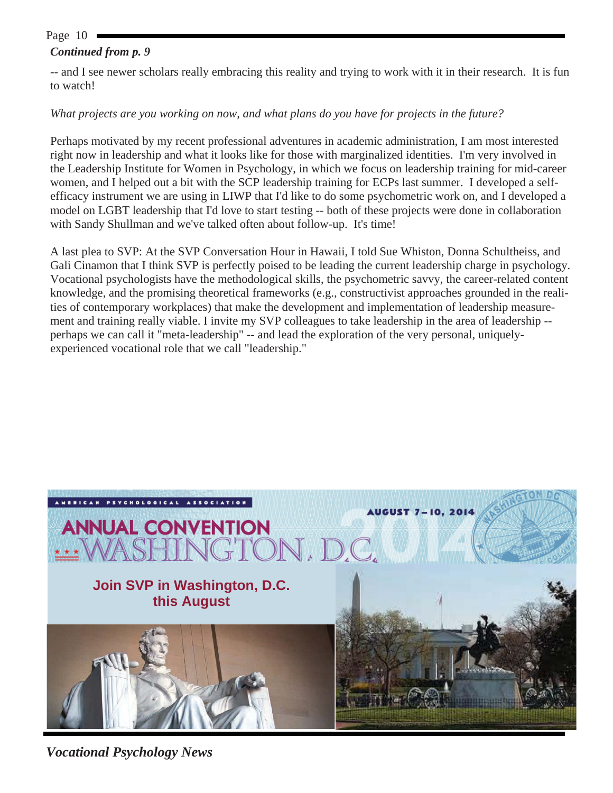#### *Continued from p. 9*

-- and I see newer scholars really embracing this reality and trying to work with it in their research. It is fun to watch!

#### *What projects are you working on now, and what plans do you have for projects in the future?*

Perhaps motivated by my recent professional adventures in academic administration, I am most interested right now in leadership and what it looks like for those with marginalized identities. I'm very involved in the Leadership Institute for Women in Psychology, in which we focus on leadership training for mid-career women, and I helped out a bit with the SCP leadership training for ECPs last summer. I developed a selfefficacy instrument we are using in LIWP that I'd like to do some psychometric work on, and I developed a model on LGBT leadership that I'd love to start testing -- both of these projects were done in collaboration with Sandy Shullman and we've talked often about follow-up. It's time!

A last plea to SVP: At the SVP Conversation Hour in Hawaii, I told Sue Whiston, Donna Schultheiss, and Gali Cinamon that I think SVP is perfectly poised to be leading the current leadership charge in psychology. Vocational psychologists have the methodological skills, the psychometric savvy, the career-related content knowledge, and the promising theoretical frameworks (e.g., constructivist approaches grounded in the realities of contemporary workplaces) that make the development and implementation of leadership measurement and training really viable. I invite my SVP colleagues to take leadership in the area of leadership - perhaps we can call it "meta-leadership" -- and lead the exploration of the very personal, uniquelyexperienced vocational role that we call "leadership."



*Vocational Psychology News*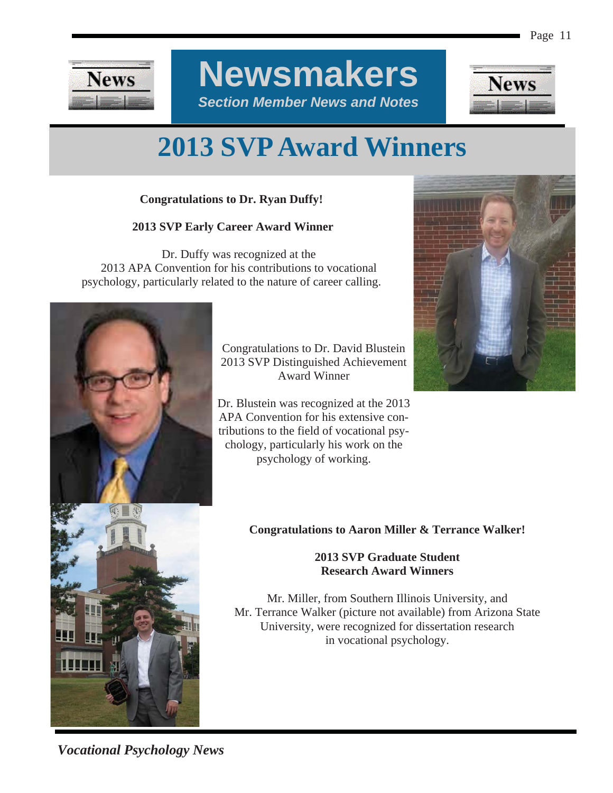

**Newsmakers**  *Section Member News and Notes* 



# **2013 SVP Award Winners**

#### **Congratulations to Dr. Ryan Duffy!**

#### **2013 SVP Early Career Award Winner**

 Dr. Duffy was recognized at the 2013 APA Convention for his contributions to vocational psychology, particularly related to the nature of career calling.



Congratulations to Dr. David Blustein 2013 SVP Distinguished Achievement Award Winner

Dr. Blustein was recognized at the 2013 APA Convention for his extensive contributions to the field of vocational psychology, particularly his work on the psychology of working.



#### **Congratulations to Aaron Miller & Terrance Walker!**

#### **2013 SVP Graduate Student Research Award Winners**

Mr. Miller, from Southern Illinois University, and Mr. Terrance Walker (picture not available) from Arizona State University, were recognized for dissertation research in vocational psychology.

*Vocational Psychology News*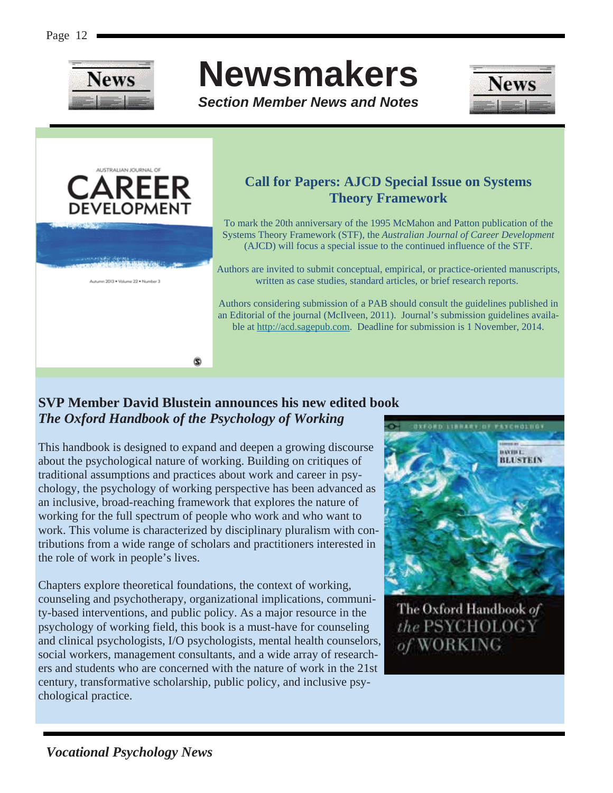

# **Newsmakers**

*Section Member News and Notes* 





# **Call for Papers: AJCD Special Issue on Systems Theory Framework**

To mark the 20th anniversary of the 1995 McMahon and Patton publication of the Systems Theory Framework (STF), the *Australian Journal of Career Development* (AJCD) will focus a special issue to the continued influence of the STF.

Authors are invited to submit conceptual, empirical, or practice-oriented manuscripts, written as case studies, standard articles, or brief research reports.

Authors considering submission of a PAB should consult the guidelines published in an Editorial of the journal (McIlveen, 2011). Journal's submission guidelines available at http://acd.sagepub.com. Deadline for submission is 1 November, 2014.

# **SVP Member David Blustein announces his new edited book**  *The Oxford Handbook of the Psychology of Working*

This handbook is designed to expand and deepen a growing discourse about the psychological nature of working. Building on critiques of traditional assumptions and practices about work and career in psychology, the psychology of working perspective has been advanced as an inclusive, broad-reaching framework that explores the nature of working for the full spectrum of people who work and who want to work. This volume is characterized by disciplinary pluralism with contributions from a wide range of scholars and practitioners interested in the role of work in people's lives.

Chapters explore theoretical foundations, the context of working, counseling and psychotherapy, organizational implications, community-based interventions, and public policy. As a major resource in the psychology of working field, this book is a must-have for counseling and clinical psychologists, I/O psychologists, mental health counselors, social workers, management consultants, and a wide array of researchers and students who are concerned with the nature of work in the 21st century, transformative scholarship, public policy, and inclusive psychological practice.



The Oxford Handbook of the PSYCHOLOGY of WORKING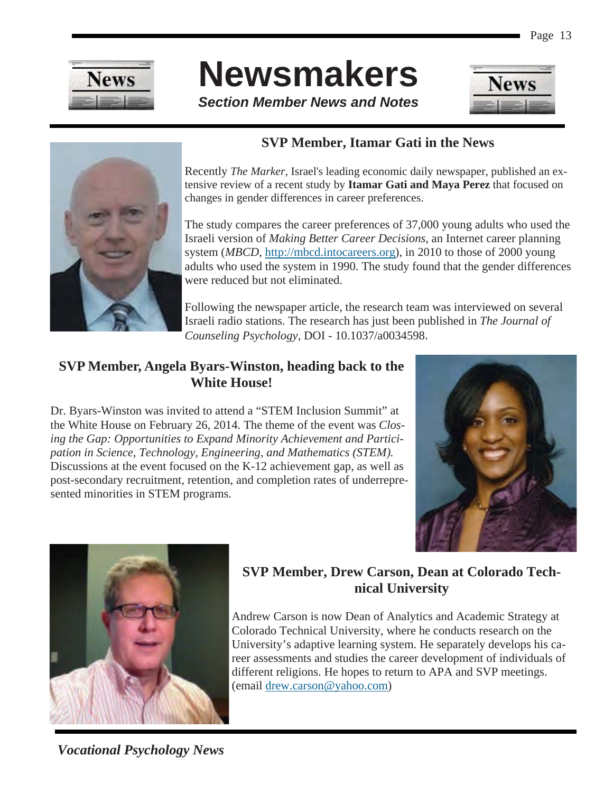

# **Newsmakers**

*Section Member News and Notes* 





# **SVP Member, Itamar Gati in the News**

Recently *The Marker*, Israel's leading economic daily newspaper, published an extensive review of a recent study by **Itamar Gati and Maya Perez** that focused on changes in gender differences in career preferences.

The study compares the career preferences of 37,000 young adults who used the Israeli version of *Making Better Career Decisions*, an Internet career planning system (*MBCD*, http://mbcd.intocareers.org), in 2010 to those of 2000 young adults who used the system in 1990. The study found that the gender differences were reduced but not eliminated.

Following the newspaper article, the research team was interviewed on several Israeli radio stations. The research has just been published in *The Journal of Counseling Psychology*, DOI - 10.1037/a0034598.

### **SVP Member, Angela Byars-Winston, heading back to the White House!**

Dr. Byars-Winston was invited to attend a "STEM Inclusion Summit" at the White House on February 26, 2014. The theme of the event was *Closing the Gap: Opportunities to Expand Minority Achievement and Participation in Science, Technology, Engineering, and Mathematics (STEM).*  Discussions at the event focused on the K-12 achievement gap, as well as post-secondary recruitment, retention, and completion rates of underrepresented minorities in STEM programs.





# **SVP Member, Drew Carson, Dean at Colorado Technical University**

Andrew Carson is now Dean of Analytics and Academic Strategy at Colorado Technical University, where he conducts research on the University's adaptive learning system. He separately develops his career assessments and studies the career development of individuals of different religions. He hopes to return to APA and SVP meetings. (email drew.carson@yahoo.com)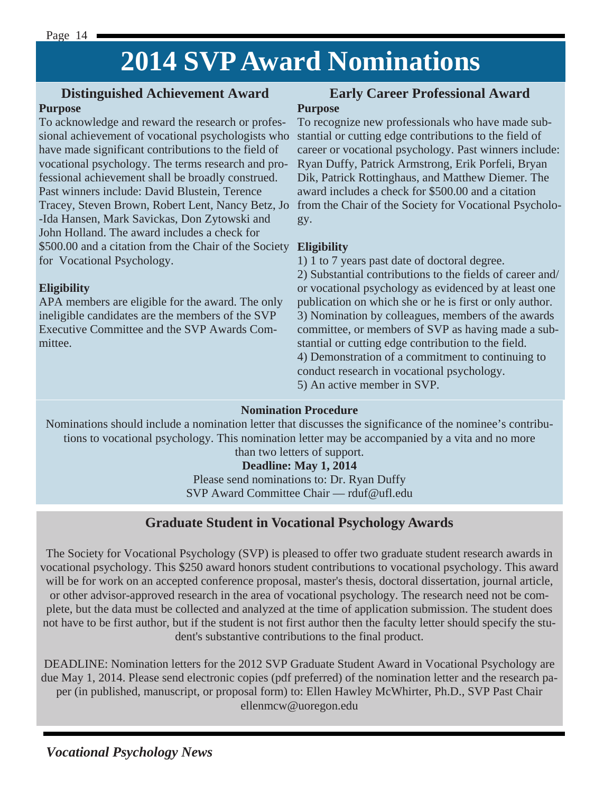# **2014 SVP Award Nominations**

### **Distinguished Achievement Award**

#### **Purpose**

To acknowledge and reward the research or professional achievement of vocational psychologists who have made significant contributions to the field of vocational psychology. The terms research and professional achievement shall be broadly construed. Past winners include: David Blustein, Terence -Ida Hansen, Mark Savickas, Don Zytowski and John Holland. The award includes a check for \$500.00 and a citation from the Chair of the Society **Eligibility**  for Vocational Psychology.

#### **Eligibility**

APA members are eligible for the award. The only ineligible candidates are the members of the SVP Executive Committee and the SVP Awards Committee.

#### **Early Career Professional Award Purpose**

Tracey, Steven Brown, Robert Lent, Nancy Betz, Jo from the Chair of the Society for Vocational Psycholo-To recognize new professionals who have made substantial or cutting edge contributions to the field of career or vocational psychology. Past winners include: Ryan Duffy, Patrick Armstrong, Erik Porfeli, Bryan Dik, Patrick Rottinghaus, and Matthew Diemer. The award includes a check for \$500.00 and a citation gy.

1) 1 to 7 years past date of doctoral degree.

2) Substantial contributions to the fields of career and/ or vocational psychology as evidenced by at least one publication on which she or he is first or only author. 3) Nomination by colleagues, members of the awards committee, or members of SVP as having made a substantial or cutting edge contribution to the field. 4) Demonstration of a commitment to continuing to conduct research in vocational psychology. 5) An active member in SVP.

#### **Nomination Procedure**

Nominations should include a nomination letter that discusses the significance of the nominee's contributions to vocational psychology. This nomination letter may be accompanied by a vita and no more than two letters of support.

#### **Deadline: May 1, 2014**

Please send nominations to: Dr. Ryan Duffy SVP Award Committee Chair — rduf@ufl.edu

### **Graduate Student in Vocational Psychology Awards**

The Society for Vocational Psychology (SVP) is pleased to offer two graduate student research awards in vocational psychology. This \$250 award honors student contributions to vocational psychology. This award will be for work on an accepted conference proposal, master's thesis, doctoral dissertation, journal article, or other advisor-approved research in the area of vocational psychology. The research need not be complete, but the data must be collected and analyzed at the time of application submission. The student does not have to be first author, but if the student is not first author then the faculty letter should specify the student's substantive contributions to the final product.

DEADLINE: Nomination letters for the 2012 SVP Graduate Student Award in Vocational Psychology are due May 1, 2014. Please send electronic copies (pdf preferred) of the nomination letter and the research paper (in published, manuscript, or proposal form) to: Ellen Hawley McWhirter, Ph.D., SVP Past Chair ellenmcw@uoregon.edu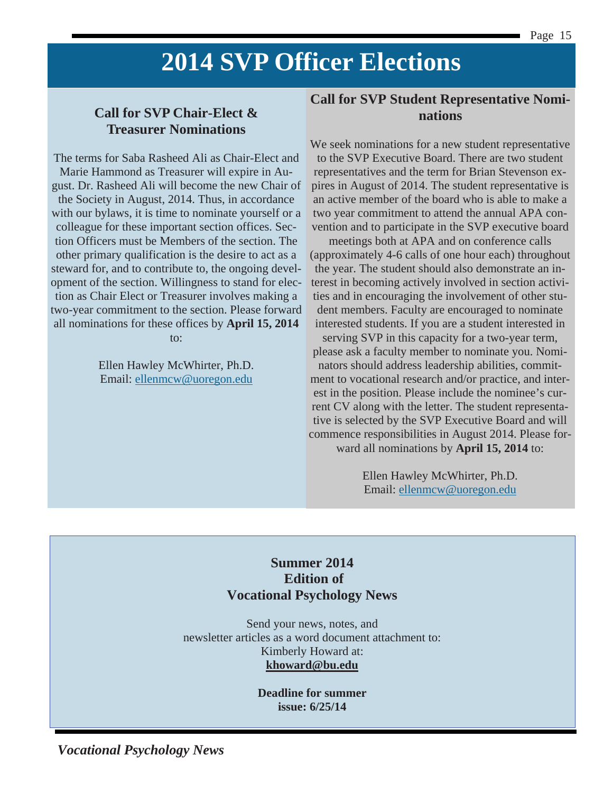# **2014 SVP Officer Elections**

# **Call for SVP Chair-Elect & Treasurer Nominations**

The terms for Saba Rasheed Ali as Chair-Elect and Marie Hammond as Treasurer will expire in August. Dr. Rasheed Ali will become the new Chair of the Society in August, 2014. Thus, in accordance with our bylaws, it is time to nominate yourself or a colleague for these important section offices. Section Officers must be Members of the section. The other primary qualification is the desire to act as a steward for, and to contribute to, the ongoing development of the section. Willingness to stand for election as Chair Elect or Treasurer involves making a two-year commitment to the section. Please forward all nominations for these offices by **April 15, 2014**

to:

Ellen Hawley McWhirter, Ph.D. Email: ellenmcw@uoregon.edu

#### **Call for SVP Student Representative Nominations**

We seek nominations for a new student representative to the SVP Executive Board. There are two student representatives and the term for Brian Stevenson expires in August of 2014. The student representative is an active member of the board who is able to make a two year commitment to attend the annual APA convention and to participate in the SVP executive board

meetings both at APA and on conference calls (approximately 4-6 calls of one hour each) throughout the year. The student should also demonstrate an interest in becoming actively involved in section activities and in encouraging the involvement of other student members. Faculty are encouraged to nominate interested students. If you are a student interested in

serving SVP in this capacity for a two-year term, please ask a faculty member to nominate you. Nominators should address leadership abilities, commitment to vocational research and/or practice, and interest in the position. Please include the nominee's current CV along with the letter. The student representative is selected by the SVP Executive Board and will commence responsibilities in August 2014. Please forward all nominations by **April 15, 2014** to:

> Ellen Hawley McWhirter, Ph.D. Email: ellenmcw@uoregon.edu

### **Summer 2014 Edition of Vocational Psychology News**

Send your news, notes, and newsletter articles as a word document attachment to: Kimberly Howard at: **khoward@bu.edu** 

> **Deadline for summer issue: 6/25/14**

*Vocational Psychology News*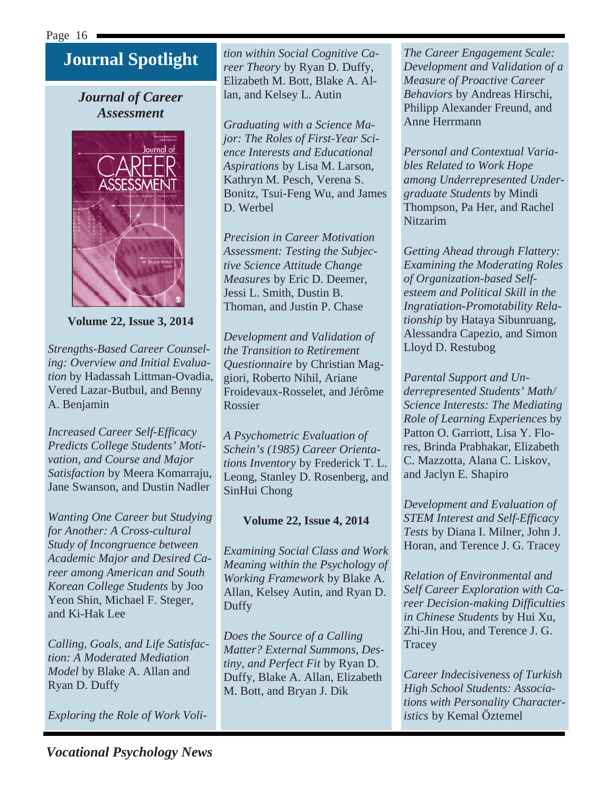# **Journal Spotlight**

### *Journal of Career Assessment*



**Volume 22, Issue 3, 2014**

*Strengths-Based Career Counseling: Overview and Initial Evaluation* by Hadassah Littman-Ovadia, Vered Lazar-Butbul, and Benny A. Benjamin

*Increased Career Self-Efficacy Predicts College Students' Motivation, and Course and Major Satisfaction* by Meera Komarraju, Jane Swanson, and Dustin Nadler

*Wanting One Career but Studying for Another: A Cross-cultural Study of Incongruence between Academic Major and Desired Career among American and South Korean College Students* by Joo Yeon Shin, Michael F. Steger, and Ki-Hak Lee

*Calling, Goals, and Life Satisfaction: A Moderated Mediation Model* by Blake A. Allan and Ryan D. Duffy

*Exploring the Role of Work Voli-*

*tion within Social Cognitive Career Theory* by Ryan D. Duffy, Elizabeth M. Bott, Blake A. Allan, and Kelsey L. Autin

*Graduating with a Science Major: The Roles of First-Year Science Interests and Educational Aspirations* by Lisa M. Larson, Kathryn M. Pesch, Verena S. Bonitz, Tsui-Feng Wu, and James D. Werbel

*Precision in Career Motivation Assessment: Testing the Subjective Science Attitude Change Measures* by Eric D. Deemer, Jessi L. Smith, Dustin B. Thoman, and Justin P. Chase

*Development and Validation of the Transition to Retirement Questionnaire* by Christian Maggiori, Roberto Nihil, Ariane Froidevaux-Rosselet, and Jérôme Rossier

*A Psychometric Evaluation of Schein's (1985) Career Orientations Inventory* by Frederick T. L. Leong, Stanley D. Rosenberg, and SinHui Chong

#### **Volume 22, Issue 4, 2014**

*Examining Social Class and Work Meaning within the Psychology of Working Framework* by Blake A. Allan, Kelsey Autin, and Ryan D. Duffy

*Does the Source of a Calling Matter? External Summons, Destiny, and Perfect Fit* by Ryan D. Duffy, Blake A. Allan, Elizabeth M. Bott, and Bryan J. Dik

*The Career Engagement Scale: Development and Validation of a Measure of Proactive Career Behaviors* by Andreas Hirschi, Philipp Alexander Freund, and Anne Herrmann

*Personal and Contextual Variables Related to Work Hope among Underrepresented Undergraduate Students* by Mindi Thompson, Pa Her, and Rachel Nitzarim

*Getting Ahead through Flattery: Examining the Moderating Roles of Organization-based Selfesteem and Political Skill in the Ingratiation-Promotability Relationship* by Hataya Sibunruang, Alessandra Capezio, and Simon Lloyd D. Restubog

*Parental Support and Underrepresented Students' Math/ Science Interests: The Mediating Role of Learning Experiences* by Patton O. Garriott, Lisa Y. Flores, Brinda Prabhakar, Elizabeth C. Mazzotta, Alana C. Liskov, and Jaclyn E. Shapiro

*Development and Evaluation of STEM Interest and Self-Efficacy Tests* by Diana I. Milner, John J. Horan, and Terence J. G. Tracey

*Relation of Environmental and Self Career Exploration with Career Decision-making Difficulties in Chinese Students* by Hui Xu, Zhi-Jin Hou, and Terence J. G. **Tracey** 

*Career Indecisiveness of Turkish High School Students: Associations with Personality Characteristics* by Kemal Öztemel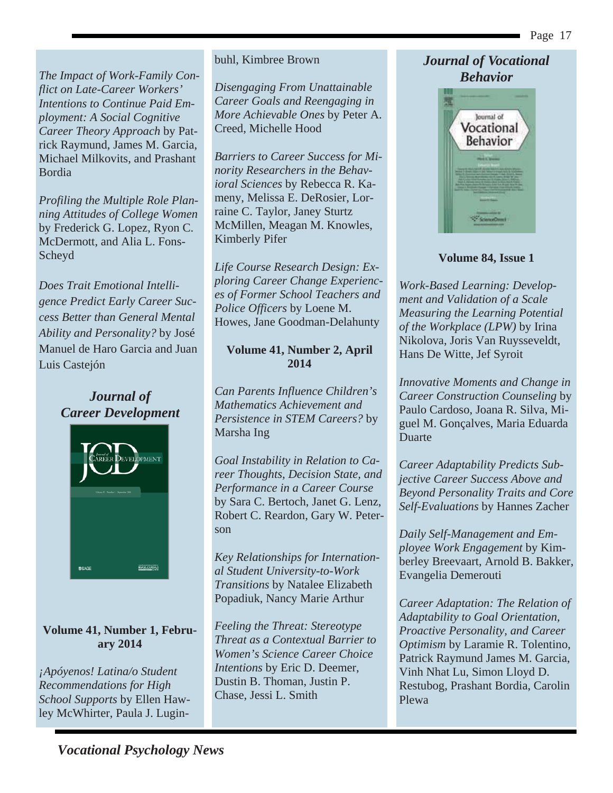*The Impact of Work-Family Conflict on Late-Career Workers' Intentions to Continue Paid Employment: A Social Cognitive Career Theory Approach* by Patrick Raymund, James M. Garcia, Michael Milkovits, and Prashant Bordia

*Profiling the Multiple Role Planning Attitudes of College Women* by Frederick G. Lopez, Ryon C. McDermott, and Alia L. Fons-Scheyd

*Does Trait Emotional Intelligence Predict Early Career Success Better than General Mental Ability and Personality?* by José Manuel de Haro Garcia and Juan Luis Castejón

> *Journal of Career Development*



#### **Volume 41, Number 1, February 2014**

*¡Apóyenos! Latina/o Student Recommendations for High School Supports* by Ellen Hawley McWhirter, Paula J. Lugin-

#### buhl, Kimbree Brown

*Disengaging From Unattainable Career Goals and Reengaging in More Achievable Ones* by Peter A. Creed, Michelle Hood

*Barriers to Career Success for Minority Researchers in the Behavioral Sciences* by Rebecca R. Kameny, Melissa E. DeRosier, Lorraine C. Taylor, Janey Sturtz McMillen, Meagan M. Knowles, Kimberly Pifer

*Life Course Research Design: Exploring Career Change Experiences of Former School Teachers and Police Officers* by Loene M. Howes, Jane Goodman-Delahunty

#### **Volume 41, Number 2, April 2014**

*Can Parents Influence Children's Mathematics Achievement and Persistence in STEM Careers?* by Marsha Ing

*Goal Instability in Relation to Career Thoughts, Decision State, and Performance in a Career Course*  by Sara C. Bertoch, Janet G. Lenz, Robert C. Reardon, Gary W. Peterson

*Key Relationships for International Student University-to-Work Transitions* by Natalee Elizabeth Popadiuk, Nancy Marie Arthur

*Feeling the Threat: Stereotype Threat as a Contextual Barrier to Women's Science Career Choice Intentions* by Eric D. Deemer, Dustin B. Thoman, Justin P. Chase, Jessi L. Smith

#### *Journal of Vocational Behavior*



#### **Volume 84, Issue 1**

*Work-Based Learning: Development and Validation of a Scale Measuring the Learning Potential of the Workplace (LPW)* by Irina Nikolova, Joris Van Ruysseveldt, Hans De Witte, Jef Syroit

*Innovative Moments and Change in Career Construction Counseling* by Paulo Cardoso, Joana R. Silva, Miguel M. Gonçalves, Maria Eduarda Duarte

*Career Adaptability Predicts Subjective Career Success Above and Beyond Personality Traits and Core Self-Evaluations* by Hannes Zacher

*Daily Self-Management and Employee Work Engagement* by Kimberley Breevaart, Arnold B. Bakker, Evangelia Demerouti

*Career Adaptation: The Relation of Adaptability to Goal Orientation, Proactive Personality, and Career Optimism* by Laramie R. Tolentino, Patrick Raymund James M. Garcia, Vinh Nhat Lu, Simon Lloyd D. Restubog, Prashant Bordia, Carolin Plewa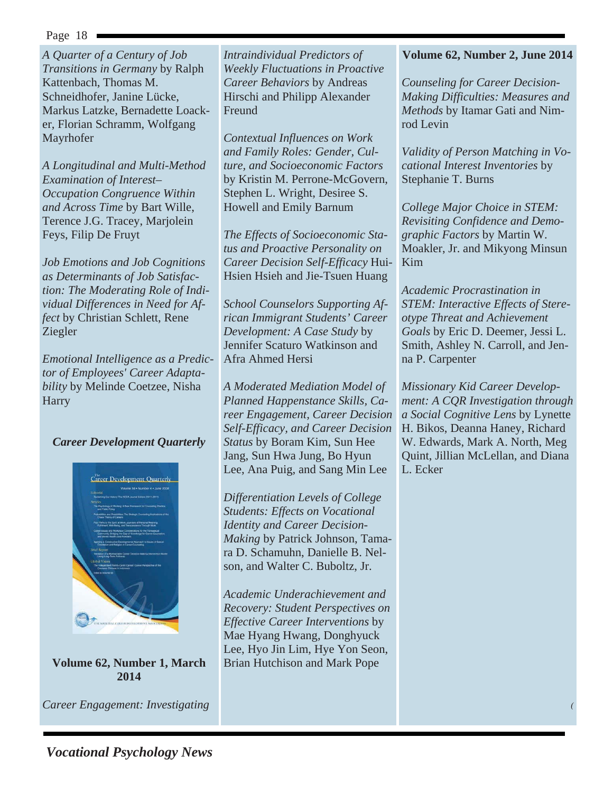*A Quarter of a Century of Job Transitions in Germany* by Ralph Kattenbach, Thomas M. Schneidhofer, Janine Lücke, Markus Latzke, Bernadette Loacker, Florian Schramm, Wolfgang Mayrhofer

*A Longitudinal and Multi-Method Examination of Interest– Occupation Congruence Within and Across Time* by Bart Wille, Terence J.G. Tracey, Marjolein Feys, Filip De Fruyt

*Job Emotions and Job Cognitions as Determinants of Job Satisfaction: The Moderating Role of Individual Differences in Need for Affect* by Christian Schlett, Rene Ziegler

*Emotional Intelligence as a Predictor of Employees' Career Adaptability* by Melinde Coetzee, Nisha **Harry** 

#### *Career Development Quarterly*



**Volume 62, Number 1, March 2014** 

*Career Engagement: Investigating* 

*Intraindividual Predictors of Weekly Fluctuations in Proactive Career Behaviors* by Andreas Hirschi and Philipp Alexander Freund

*Contextual Influences on Work and Family Roles: Gender, Culture, and Socioeconomic Factors* by Kristin M. Perrone-McGovern, Stephen L. Wright, Desiree S. Howell and Emily Barnum

*The Effects of Socioeconomic Status and Proactive Personality on Career Decision Self-Efficacy* Hui-Hsien Hsieh and Jie-Tsuen Huang

*School Counselors Supporting African Immigrant Students' Career Development: A Case Study* by Jennifer Scaturo Watkinson and Afra Ahmed Hersi

*A Moderated Mediation Model of Planned Happenstance Skills, Career Engagement, Career Decision Self-Efficacy, and Career Decision Status* by Boram Kim, Sun Hee Jang, Sun Hwa Jung, Bo Hyun Lee, Ana Puig, and Sang Min Lee

*Differentiation Levels of College Students: Effects on Vocational Identity and Career Decision-Making* by Patrick Johnson, Tamara D. Schamuhn, Danielle B. Nelson, and Walter C. Buboltz, Jr.

*Academic Underachievement and Recovery: Student Perspectives on Effective Career Interventions* by Mae Hyang Hwang, Donghyuck Lee, Hyo Jin Lim, Hye Yon Seon, Brian Hutchison and Mark Pope

#### **Volume 62, Number 2, June 2014**

*Counseling for Career Decision-Making Difficulties: Measures and Methods* by Itamar Gati and Nimrod Levin

*Validity of Person Matching in Vocational Interest Inventories* by Stephanie T. Burns

*College Major Choice in STEM: Revisiting Confidence and Demographic Factors* by Martin W. Moakler, Jr. and Mikyong Minsun Kim

*Academic Procrastination in STEM: Interactive Effects of Stereotype Threat and Achievement Goals* by Eric D. Deemer, Jessi L. Smith, Ashley N. Carroll, and Jenna P. Carpenter

*Missionary Kid Career Development: A CQR Investigation through a Social Cognitive Lens* by Lynette H. Bikos, Deanna Haney, Richard W. Edwards, Mark A. North, Meg Quint, Jillian McLellan, and Diana L. Ecker